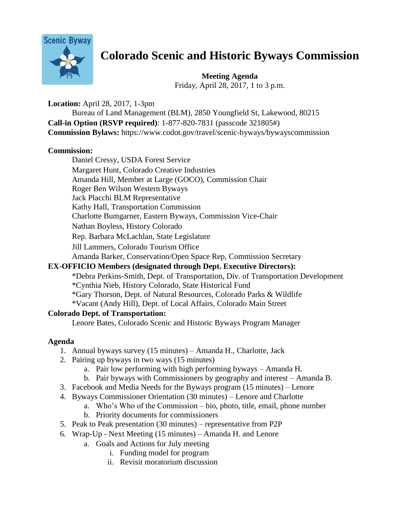

# **Colorado Scenic and Historic Byways Commission**

**Meeting Agenda** Friday, April 28, 2017, 1 to 3 p.m.

**Location:** April 28, 2017, 1-3pm Bureau of Land Management (BLM), 2850 Youngfield St, Lakewood, 80215 **Call-in Option (RSVP required)**: 1-877-820-7831 (passcode 321805#) **Commission Bylaws:** https://www.codot.gov/travel/scenic-byways/bywayscommission

# **Commission:**

Daniel Cressy, USDA Forest Service Margaret Hunt, Colorado Creative Industries Amanda Hill, Member at Large (GOCO), Commission Chair Roger Ben Wilson Western Byways Jack Placchi BLM Representative Kathy Hall, Transportation Commission Charlotte Bumgarner, Eastern Byways, Commission Vice-Chair Nathan Boyless, History Colorado Rep. Barbara McLachlan, State Legislature Jill Lammers, Colorado Tourism Office Amanda Barker, Conservation/Open Space Rep, Commission Secretary **EX-OFFICIO Members (designated through Dept. Executive Directors):**

# \*Debra Perkins-Smith, Dept. of Transportation, Div. of Transportation Development \*Cynthia Nieb, History Colorado, State Historical Fund

- \*Gary Thorson, Dept. of Natural Resources, Colorado Parks & Wildlife
- \*Vacant (Andy Hill), Dept. of Local Affairs, Colorado Main Street

# **Colorado Dept. of Transportation:**

Lenore Bates, Colorado Scenic and Historic Byways Program Manager

# **Agenda**

- 1. Annual byways survey (15 minutes) Amanda H., Charlotte, Jack
- 2. Pairing up byways in two ways (15 minutes)
	- a. Pair low performing with high performing byways Amanda H.
	- b. Pair byways with Commissioners by geography and interest Amanda B.
- 3. Facebook and Media Needs for the Byways program (15 minutes) Lenore
- 4. Byways Commissioner Orientation (30 minutes) Lenore and Charlotte
	- a. Who's Who of the Commission bio, photo, title, email, phone number
	- b. Priority documents for commissioners
- 5. Peak to Peak presentation (30 minutes) representative from P2P
- 6. Wrap-Up Next Meeting (15 minutes) Amanda H. and Lenore
	- a. Goals and Actions for July meeting
		- i. Funding model for program
		- ii. Revisit moratorium discussion